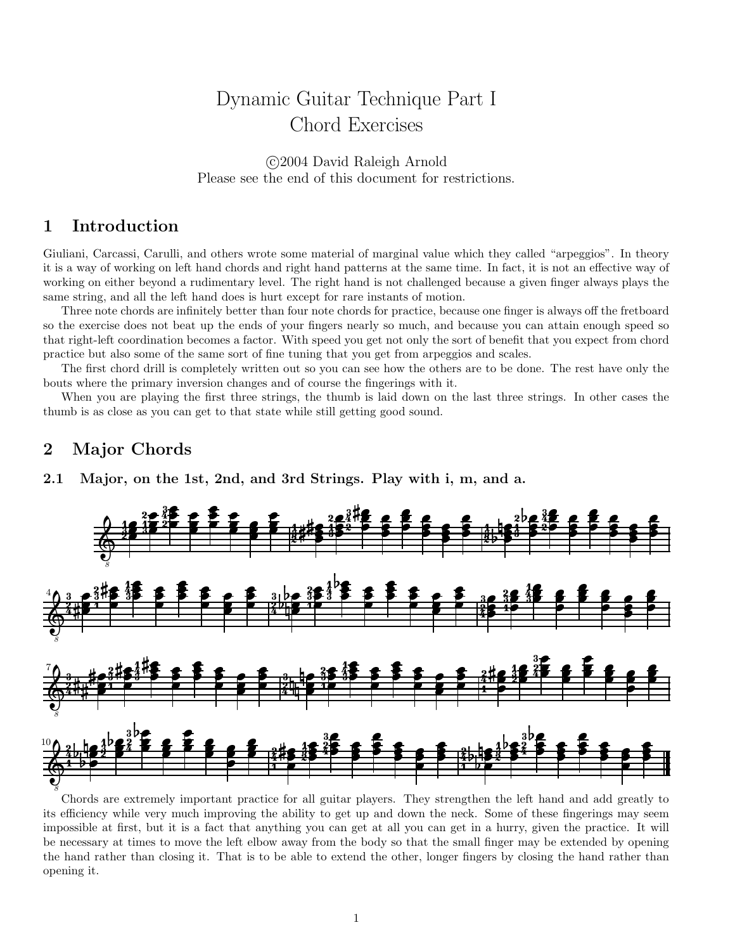# Dynamic Guitar Technique Part I Chord Exercises

#### c 2004 David Raleigh Arnold Please see the end of this document for restrictions.

#### 1 Introduction

Giuliani, Carcassi, Carulli, and others wrote some material of marginal value which they called "arpeggios". In theory it is a way of working on left hand chords and right hand patterns at the same time. In fact, it is not an effective way of working on either beyond a rudimentary level. The right hand is not challenged because a given finger always plays the same string, and all the left hand does is hurt except for rare instants of motion.

Three note chords are infinitely better than four note chords for practice, because one finger is always off the fretboard so the exercise does not beat up the ends of your fingers nearly so much, and because you can attain enough speed so that right-left coordination becomes a factor. With speed you get not only the sort of benefit that you expect from chord practice but also some of the same sort of fine tuning that you get from arpeggios and scales.

The first chord drill is completely written out so you can see how the others are to be done. The rest have only the bouts where the primary inversion changes and of course the fingerings with it.

When you are playing the first three strings, the thumb is laid down on the last three strings. In other cases the thumb is as close as you can get to that state while still getting good sound.

### 2 Major Chords

2.1 Major, on the 1st, 2nd, and 3rd Strings. Play with i, m, and a.



Chords are extremely important practice for all guitar players. They strengthen the left hand and add greatly to its efficiency while very much improving the ability to get up and down the neck. Some of these fingerings may seem impossible at first, but it is a fact that anything you can get at all you can get in a hurry, given the practice. It will be necessary at times to move the left elbow away from the body so that the small finger may be extended by opening the hand rather than closing it. That is to be able to extend the other, longer fingers by closing the hand rather than opening it.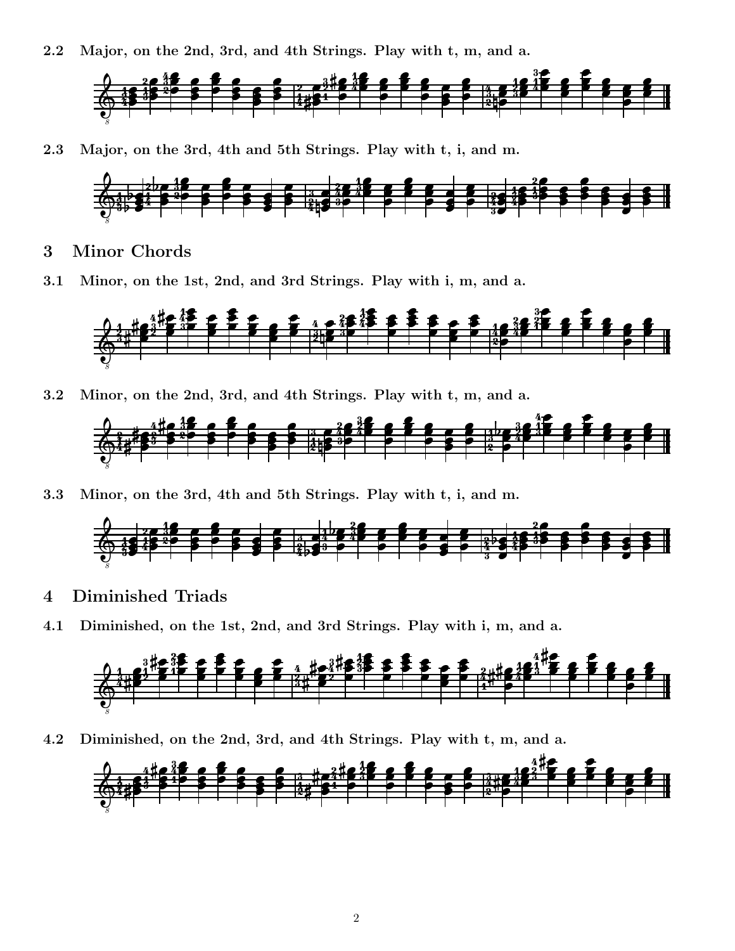2.2 Major, on the 2nd, 3rd, and 4th Strings. Play with t, m, and a.



2.3 Major, on the 3rd, 4th and 5th Strings. Play with t, i, and m.



- 3 Minor Chords
- 3.1 Minor, on the 1st, 2nd, and 3rd Strings. Play with i, m, and a.



3.2 Minor, on the 2nd, 3rd, and 4th Strings. Play with t, m, and a.



3.3 Minor, on the 3rd, 4th and 5th Strings. Play with t, i, and m.



- 4 Diminished Triads
- 4.1 Diminished, on the 1st, 2nd, and 3rd Strings. Play with i, m, and a.



4.2 Diminished, on the 2nd, 3rd, and 4th Strings. Play with t, m, and a.